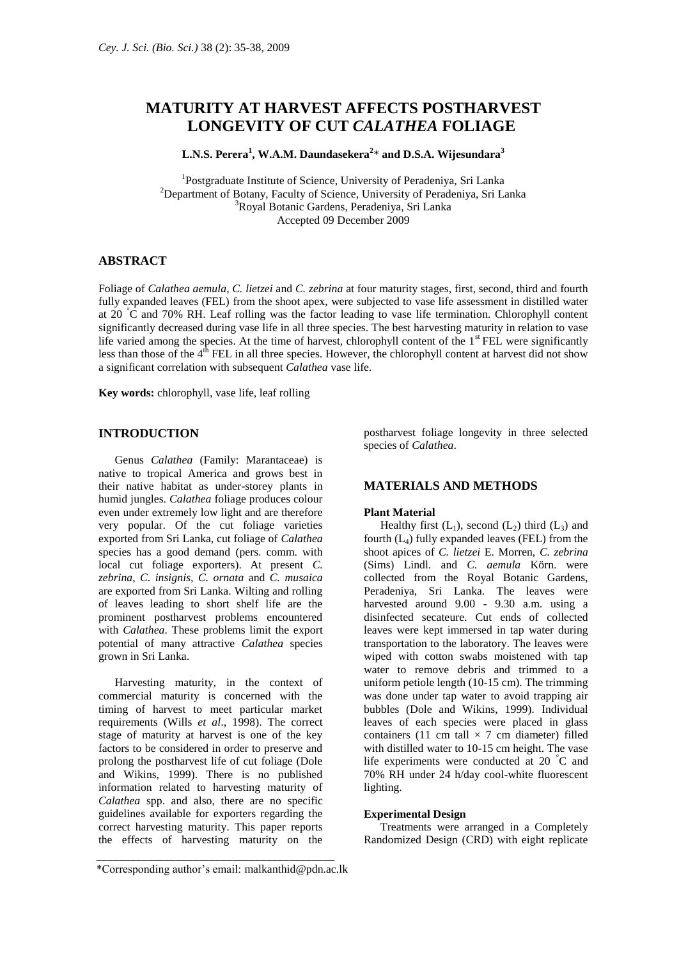# **MATURITY AT HARVEST AFFECTS POSTHARVEST LONGEVITY OF CUT** *CALATHEA* **FOLIAGE**

**L.N.S. Perera<sup>1</sup> , W.A.M. Daundasekera<sup>2</sup>** \* **and D.S.A. Wijesundara<sup>3</sup>**

<sup>1</sup>Postgraduate Institute of Science, University of Peradeniya, Sri Lanka <sup>2</sup>Department of Botany, Faculty of Science, University of Peradeniya, Sri Lanka <sup>3</sup>Royal Botanic Gardens, Peradeniya, Sri Lanka Accepted 09 December 2009

# **ABSTRACT**

Foliage of *Calathea aemula, C. lietzei* and *C. zebrina* at four maturity stages, first, second, third and fourth fully expanded leaves (FEL) from the shoot apex, were subjected to vase life assessment in distilled water at 20 °C and 70% RH. Leaf rolling was the factor leading to vase life termination. Chlorophyll content significantly decreased during vase life in all three species. The best harvesting maturity in relation to vase life varied among the species. At the time of harvest, chlorophyll content of the 1<sup>st</sup> FEL were significantly less than those of the  $4<sup>th</sup>$  FEL in all three species. However, the chlorophyll content at harvest did not show a significant correlation with subsequent *Calathea* vase life.

**Key words:** chlorophyll, vase life, leaf rolling

# **INTRODUCTION**

Genus *Calathea* (Family: Marantaceae) is native to tropical America and grows best in their native habitat as under-storey plants in humid jungles. *Calathea* foliage produces colour even under extremely low light and are therefore very popular. Of the cut foliage varieties exported from Sri Lanka, cut foliage of *Calathea* species has a good demand (pers. comm. with local cut foliage exporters). At present *C. zebrina*, *C. insignis, C. ornata* and *C. musaica*  are exported from Sri Lanka. Wilting and rolling of leaves leading to short shelf life are the prominent postharvest problems encountered with *Calathea*. These problems limit the export potential of many attractive *Calathea* species grown in Sri Lanka.

Harvesting maturity, in the context of commercial maturity is concerned with the timing of harvest to meet particular market requirements (Wills *et al*., 1998). The correct stage of maturity at harvest is one of the key factors to be considered in order to preserve and prolong the postharvest life of cut foliage (Dole and Wikins, 1999). There is no published information related to harvesting maturity of *Calathea* spp. and also, there are no specific guidelines available for exporters regarding the correct harvesting maturity. This paper reports the effects of harvesting maturity on the postharvest foliage longevity in three selected species of *Calathea*.

## **MATERIALS AND METHODS**

#### **Plant Material**

Healthy first  $(L_1)$ , second  $(L_2)$  third  $(L_3)$  and fourth  $(L_4)$  fully expanded leaves (FEL) from the shoot apices of *C. lietzei* E. Morren, *C. zebrina* (Sims) Lindl. and *C. aemula* Körn. were collected from the Royal Botanic Gardens, Peradeniya, Sri Lanka. The leaves were harvested around 9.00 - 9.30 a.m. using a disinfected secateure. Cut ends of collected leaves were kept immersed in tap water during transportation to the laboratory. The leaves were wiped with cotton swabs moistened with tap water to remove debris and trimmed to a uniform petiole length (10-15 cm). The trimming was done under tap water to avoid trapping air bubbles (Dole and Wikins, 1999). Individual leaves of each species were placed in glass containers (11 cm tall  $\times$  7 cm diameter) filled with distilled water to 10-15 cm height. The vase life experiments were conducted at 20 °C and 70% RH under 24 h/day cool-white fluorescent lighting.

# **Experimental Design**

Treatments were arranged in a Completely Randomized Design (CRD) with eight replicate

\_\_\_\_\_\_\_\_\_\_\_\_\_\_\_\_\_\_\_\_\_\_\_\_\_\_\_\_\_\_\_\_\_\_\_\_\_\_\_\_\_\_ \*Corresponding author's email: malkanthid@pdn.ac.lk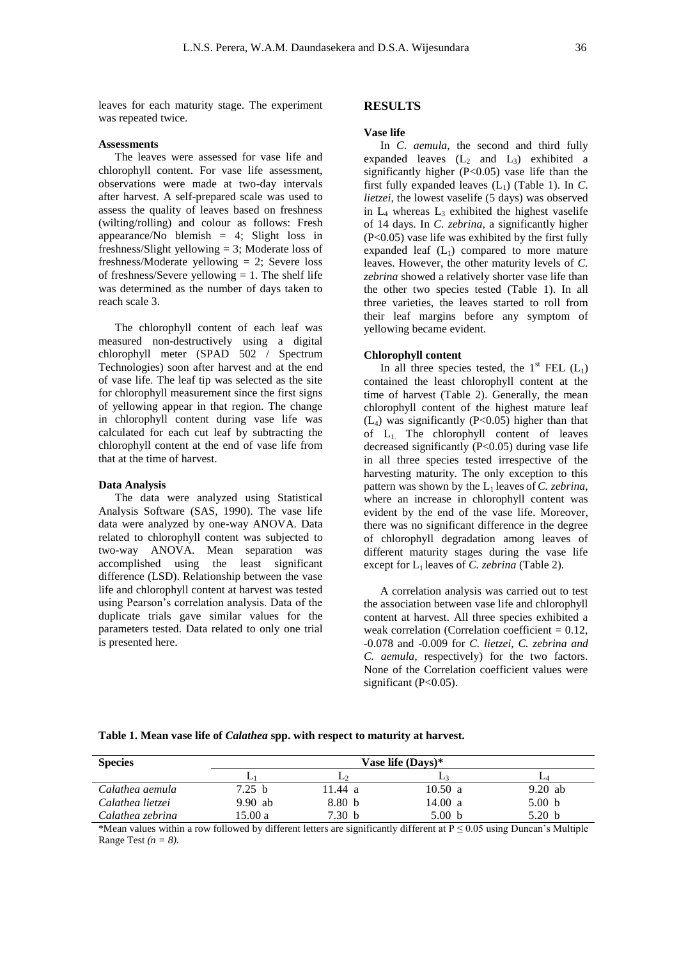leaves for each maturity stage. The experiment was repeated twice.

### **Assessments**

The leaves were assessed for vase life and chlorophyll content. For vase life assessment, observations were made at two-day intervals after harvest. A self-prepared scale was used to assess the quality of leaves based on freshness (wilting/rolling) and colour as follows: Fresh appearance/No blemish = 4; Slight loss in freshness/Slight yellowing = 3; Moderate loss of freshness/Moderate yellowing = 2; Severe loss of freshness/Severe yellowing  $= 1$ . The shelf life was determined as the number of days taken to reach scale 3.

The chlorophyll content of each leaf was measured non-destructively using a digital chlorophyll meter (SPAD 502 / Spectrum Technologies) soon after harvest and at the end of vase life. The leaf tip was selected as the site for chlorophyll measurement since the first signs of yellowing appear in that region. The change in chlorophyll content during vase life was calculated for each cut leaf by subtracting the chlorophyll content at the end of vase life from that at the time of harvest.

#### **Data Analysis**

The data were analyzed using Statistical Analysis Software (SAS, 1990). The vase life data were analyzed by one-way ANOVA. Data related to chlorophyll content was subjected to two-way ANOVA. Mean separation was accomplished using the least significant difference (LSD). Relationship between the vase life and chlorophyll content at harvest was tested using Pearson's correlation analysis. Data of the duplicate trials gave similar values for the parameters tested. Data related to only one trial is presented here.

# **RESULTS**

#### **Vase life**

In *C*. *aemula*, the second and third fully expanded leaves  $(L_2 \text{ and } L_3)$  exhibited a significantly higher  $(P<0.05)$  vase life than the first fully expanded leaves  $(L_1)$  (Table 1). In *C*. *lietzei*, the lowest vaselife (5 days) was observed in  $L_4$  whereas  $L_3$  exhibited the highest vaselife of 14 days. In *C. zebrina*, a significantly higher (P<0.05) vase life was exhibited by the first fully expanded leaf  $(L_1)$  compared to more mature leaves. However, the other maturity levels of *C. zebrina* showed a relatively shorter vase life than the other two species tested (Table 1). In all three varieties, the leaves started to roll from their leaf margins before any symptom of yellowing became evident.

#### **Chlorophyll content**

In all three species tested, the  $1<sup>st</sup> FEL$  (L<sub>1</sub>) contained the least chlorophyll content at the time of harvest (Table 2). Generally, the mean chlorophyll content of the highest mature leaf  $(L_4)$  was significantly (P<0.05) higher than that of  $L_1$ . The chlorophyll content of leaves decreased significantly  $(P<0.05)$  during vase life in all three species tested irrespective of the harvesting maturity. The only exception to this pattern was shown by the L1 leaves of *C. zebrina*, where an increase in chlorophyll content was evident by the end of the vase life. Moreover, there was no significant difference in the degree of chlorophyll degradation among leaves of different maturity stages during the vase life except for L1 leaves of *C. zebrina* (Table 2).

A correlation analysis was carried out to test the association between vase life and chlorophyll content at harvest. All three species exhibited a weak correlation (Correlation coefficient  $= 0.12$ , -0.078 and -0.009 for *C. lietzei, C. zebrina and C. aemula,* respectively) for the two factors. None of the Correlation coefficient values were significant  $(P<0.05)$ .

### **Table 1. Mean vase life of** *Calathea* **spp. with respect to maturity at harvest.**

| <b>Species</b>   | Vase life (Days)* |                   |                   |           |  |  |  |
|------------------|-------------------|-------------------|-------------------|-----------|--|--|--|
|                  |                   |                   | Le                | ⊷         |  |  |  |
| Calathea aemula  | 7.25 b            | 11.44 a           | 10.50 a           | $9.20$ ab |  |  |  |
| Calathea lietzei | $9.90$ ab         | 8.80 <sub>b</sub> | 14.00 a           | 5.00 b    |  |  |  |
| Calathea zebrina | 15.00 a           | 7.30 b            | 5.00 <sub>b</sub> | 5.20 b    |  |  |  |

\*Mean values within a row followed by different letters are significantly different at  $P \le 0.05$  using Duncan's Multiple Range Test *(n = 8).*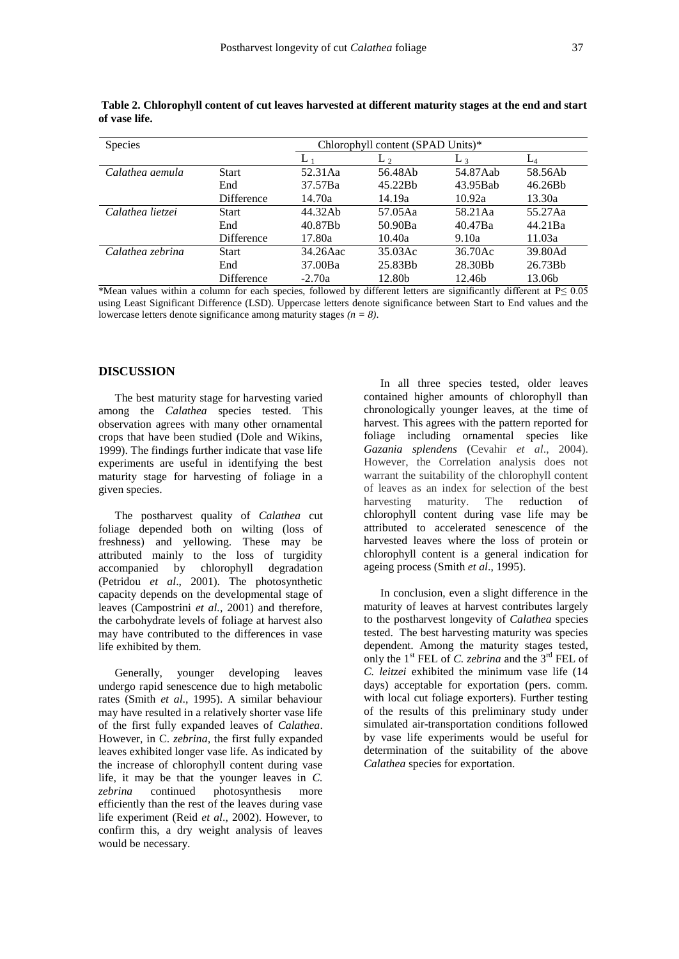| <b>Species</b>   |                   | Chlorophyll content (SPAD Units)* |         |          |         |  |
|------------------|-------------------|-----------------------------------|---------|----------|---------|--|
|                  |                   | L                                 | $L_{2}$ | $L_3$    | $L_4$   |  |
| Calathea aemula  | <b>Start</b>      | 52.31Aa                           | 56.48Ab | 54.87Aab | 58.56Ab |  |
|                  | End               | 37.57Ba                           | 45.22Bb | 43.95Bab | 46.26Bb |  |
|                  | <b>Difference</b> | 14.70a                            | 14.19a  | 10.92a   | 13.30a  |  |
| Calathea lietzei | <b>Start</b>      | 44.32Ab                           | 57.05Aa | 58.21Aa  | 55.27Aa |  |
|                  | End               | 40.87Bb                           | 50.90Ba | 40.47Ba  | 44.21Ba |  |
|                  | <b>Difference</b> | 17.80a                            | 10.40a  | 9.10a    | 11.03a  |  |
| Calathea zebrina | Start             | 34.26Aac                          | 35.03Ac | 36.70Ac  | 39.80Ad |  |
|                  | End               | 37.00Ba                           | 25.83Bb | 28.30Bb  | 26.73Bb |  |
|                  | Difference        | $-2.70a$                          | 12.80b  | 12.46b   | 13.06b  |  |

**Table 2. Chlorophyll content of cut leaves harvested at different maturity stages at the end and start of vase life.**

\*Mean values within a column for each species, followed by different letters are significantly different at P≤ 0.05 using Least Significant Difference (LSD). Uppercase letters denote significance between Start to End values and the lowercase letters denote significance among maturity stages *(n = 8)*.

## **DISCUSSION**

The best maturity stage for harvesting varied among the *Calathea* species tested. This observation agrees with many other ornamental crops that have been studied (Dole and Wikins, 1999). The findings further indicate that vase life experiments are useful in identifying the best maturity stage for harvesting of foliage in a given species.

The postharvest quality of *Calathea* cut foliage depended both on wilting (loss of freshness) and yellowing. These may be attributed mainly to the loss of turgidity accompanied by chlorophyll degradation (Petridou *et al*., 2001). The photosynthetic capacity depends on the developmental stage of leaves (Campostrini *et al.*, 2001) and therefore, the carbohydrate levels of foliage at harvest also may have contributed to the differences in vase life exhibited by them.

Generally, younger developing leaves undergo rapid senescence due to high metabolic rates (Smith *et al*., 1995). A similar behaviour may have resulted in a relatively shorter vase life of the first fully expanded leaves of *Calathea*. However, in C. *zebrina,* the first fully expanded leaves exhibited longer vase life. As indicated by the increase of chlorophyll content during vase life, it may be that the younger leaves in *C. zebrina* continued photosynthesis more efficiently than the rest of the leaves during vase life experiment (Reid *et al.*, 2002). However, to confirm this, a dry weight analysis of leaves would be necessary.

In all three species tested, older leaves contained higher amounts of chlorophyll than chronologically younger leaves, at the time of harvest. This agrees with the pattern reported for foliage including ornamental species like *Gazania splendens* (Cevahir *et al*., 2004). However, the Correlation analysis does not warrant the suitability of the chlorophyll content of leaves as an index for selection of the best harvesting maturity. The reduction of chlorophyll content during vase life may be attributed to accelerated senescence of the harvested leaves where the loss of protein or chlorophyll content is a general indication for ageing process (Smith *et al*., 1995).

In conclusion, even a slight difference in the maturity of leaves at harvest contributes largely to the postharvest longevity of *Calathea* species tested. The best harvesting maturity was species dependent. Among the maturity stages tested, only the 1st FEL of *C. zebrina* and the 3rd FEL of *C. leitzei* exhibited the minimum vase life (14 days) acceptable for exportation (pers. comm. with local cut foliage exporters). Further testing of the results of this preliminary study under simulated air-transportation conditions followed by vase life experiments would be useful for determination of the suitability of the above *Calathea* species for exportation.